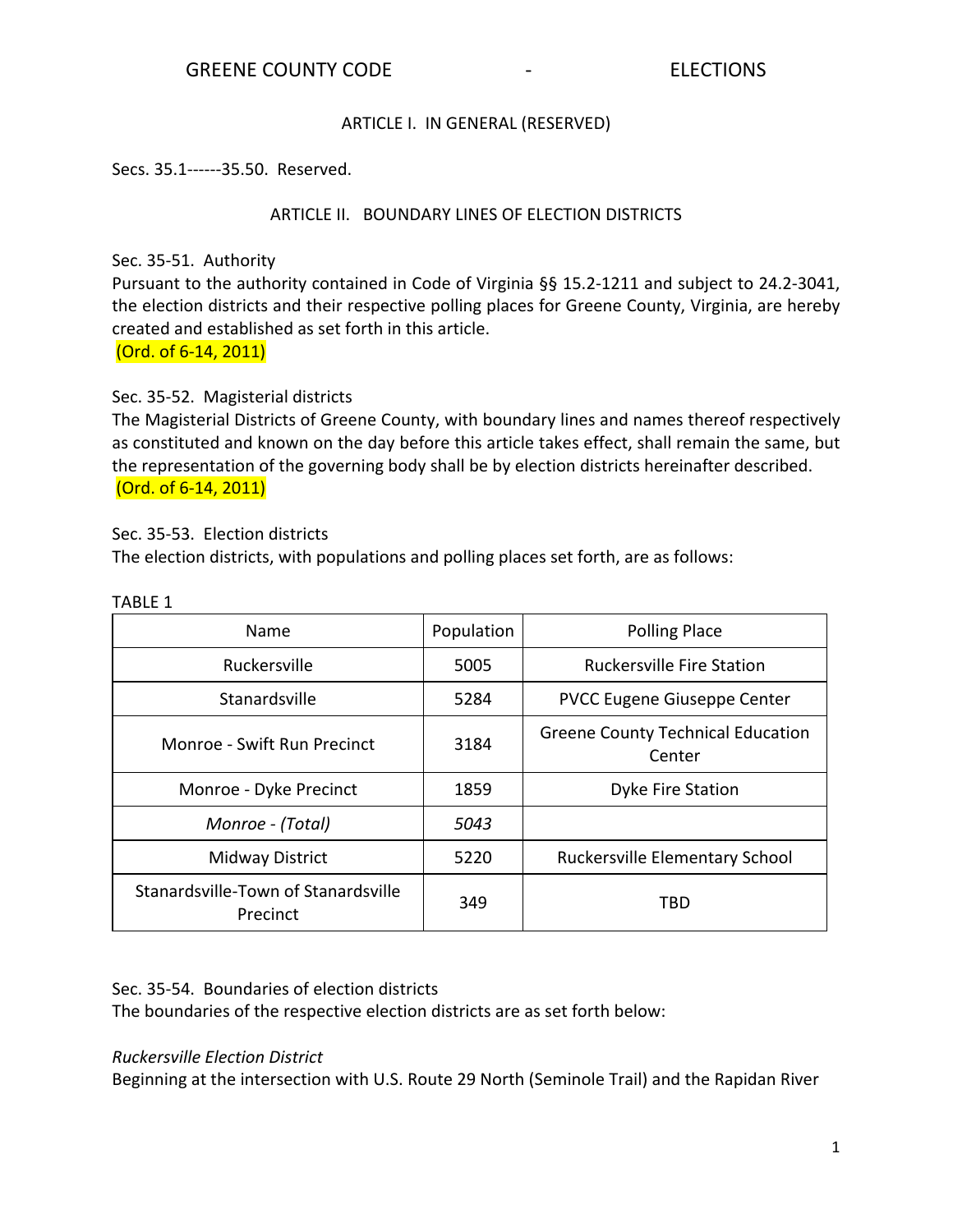# ARTICLE I. IN GENERAL (RESERVED)

## Secs. 35.1------35.50. Reserved.

# ARTICLE II. BOUNDARY LINES OF ELECTION DISTRICTS

Sec. 35-51. Authority

Pursuant to the authority contained in Code of Virginia §§ 15.2-1211 and subject to 24.2-3041, the election districts and their respective polling places for Greene County, Virginia, are hereby created and established as set forth in this article.

(Ord. of 6-14, 2011)

Sec. 35-52. Magisterial districts

The Magisterial Districts of Greene County, with boundary lines and names thereof respectively as constituted and known on the day before this article takes effect, shall remain the same, but the representation of the governing body shall be by election districts hereinafter described. (Ord. of 6-14, 2011)

Sec. 35-53. Election districts

The election districts, with populations and polling places set forth, are as follows:

| Name                                            | Population | <b>Polling Place</b>                               |
|-------------------------------------------------|------------|----------------------------------------------------|
| Ruckersville                                    | 5005       | <b>Ruckersville Fire Station</b>                   |
| Stanardsville                                   | 5284       | PVCC Eugene Giuseppe Center                        |
| Monroe - Swift Run Precinct                     | 3184       | <b>Greene County Technical Education</b><br>Center |
| Monroe - Dyke Precinct                          | 1859       | Dyke Fire Station                                  |
| Monroe - (Total)                                | 5043       |                                                    |
| Midway District                                 | 5220       | Ruckersville Elementary School                     |
| Stanardsville-Town of Stanardsville<br>Precinct | 349        | TBD                                                |

#### TABLE 1

# Sec. 35-54. Boundaries of election districts

The boundaries of the respective election districts are as set forth below:

### *Ruckersville Election District*

Beginning at the intersection with U.S. Route 29 North (Seminole Trail) and the Rapidan River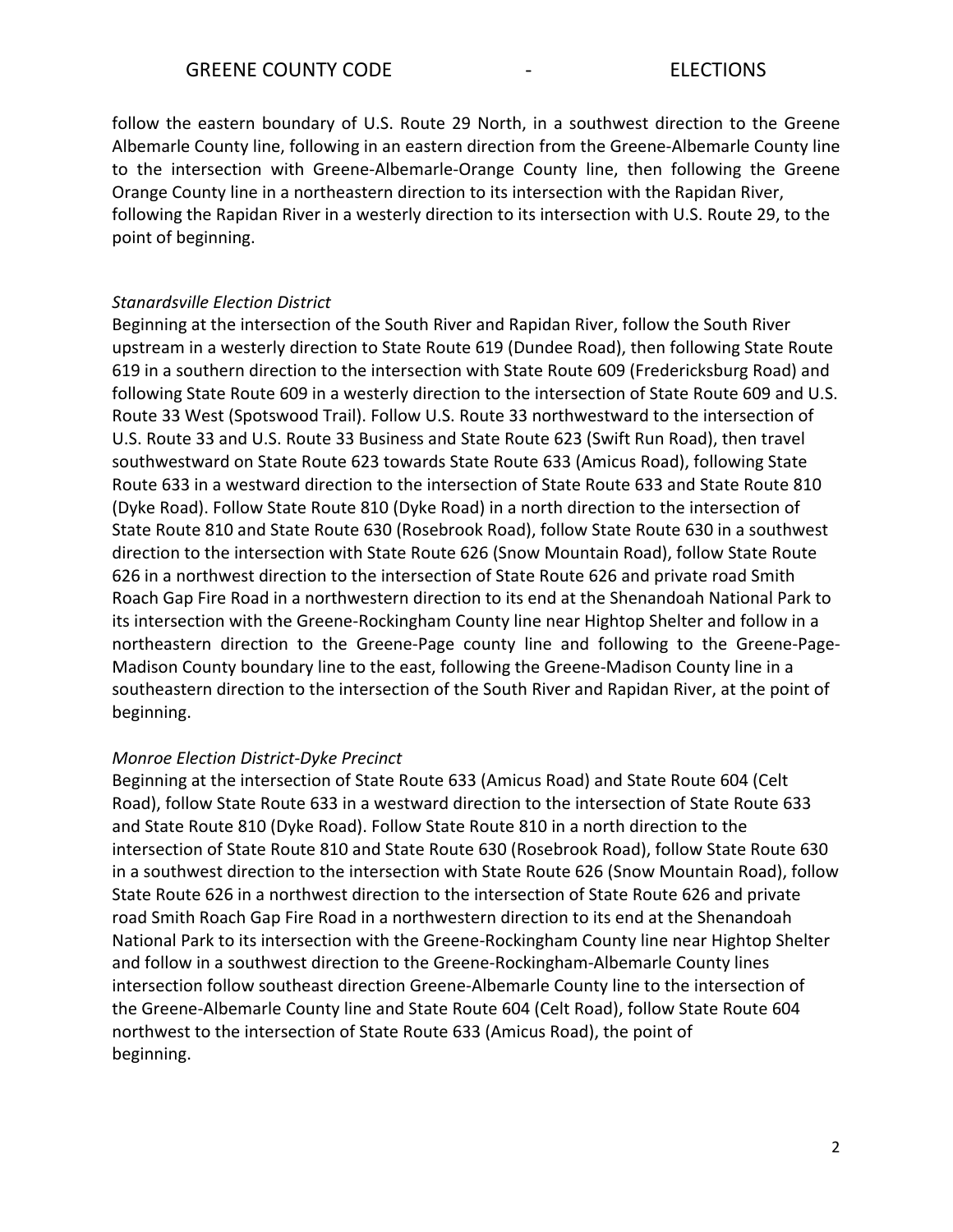follow the eastern boundary of U.S. Route 29 North, in a southwest direction to the Greene Albemarle County line, following in an eastern direction from the Greene-Albemarle County line to the intersection with Greene-Albemarle-Orange County line, then following the Greene Orange County line in a northeastern direction to its intersection with the Rapidan River, following the Rapidan River in a westerly direction to its intersection with U.S. Route 29, to the point of beginning.

### *Stanardsville Election District*

Beginning at the intersection of the South River and Rapidan River, follow the South River upstream in a westerly direction to State Route 619 (Dundee Road), then following State Route 619 in a southern direction to the intersection with State Route 609 (Fredericksburg Road) and following State Route 609 in a westerly direction to the intersection of State Route 609 and U.S. Route 33 West (Spotswood Trail). Follow U.S. Route 33 northwestward to the intersection of U.S. Route 33 and U.S. Route 33 Business and State Route 623 (Swift Run Road), then travel southwestward on State Route 623 towards State Route 633 (Amicus Road), following State Route 633 in a westward direction to the intersection of State Route 633 and State Route 810 (Dyke Road). Follow State Route 810 (Dyke Road) in a north direction to the intersection of State Route 810 and State Route 630 (Rosebrook Road), follow State Route 630 in a southwest direction to the intersection with State Route 626 (Snow Mountain Road), follow State Route 626 in a northwest direction to the intersection of State Route 626 and private road Smith Roach Gap Fire Road in a northwestern direction to its end at the Shenandoah National Park to its intersection with the Greene-Rockingham County line near Hightop Shelter and follow in a northeastern direction to the Greene-Page county line and following to the Greene-Page-Madison County boundary line to the east, following the Greene-Madison County line in a southeastern direction to the intersection of the South River and Rapidan River, at the point of beginning.

#### *Monroe Election District-Dyke Precinct*

Beginning at the intersection of State Route 633 (Amicus Road) and State Route 604 (Celt Road), follow State Route 633 in a westward direction to the intersection of State Route 633 and State Route 810 (Dyke Road). Follow State Route 810 in a north direction to the intersection of State Route 810 and State Route 630 (Rosebrook Road), follow State Route 630 in a southwest direction to the intersection with State Route 626 (Snow Mountain Road), follow State Route 626 in a northwest direction to the intersection of State Route 626 and private road Smith Roach Gap Fire Road in a northwestern direction to its end at the Shenandoah National Park to its intersection with the Greene-Rockingham County line near Hightop Shelter and follow in a southwest direction to the Greene-Rockingham-Albemarle County lines intersection follow southeast direction Greene-Albemarle County line to the intersection of the Greene-Albemarle County line and State Route 604 (Celt Road), follow State Route 604 northwest to the intersection of State Route 633 (Amicus Road), the point of beginning.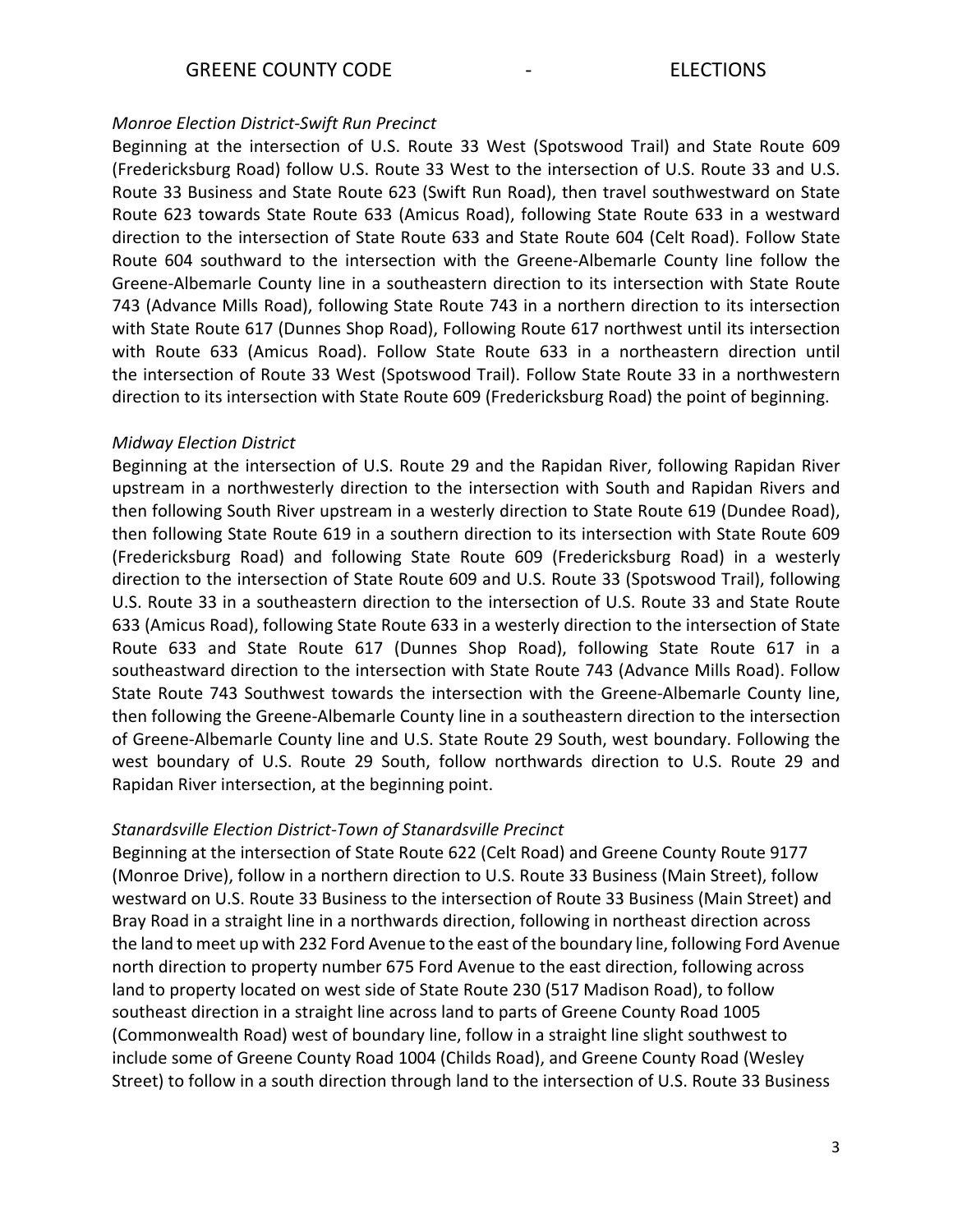### *Monroe Election District-Swift Run Precinct*

Beginning at the intersection of U.S. Route 33 West (Spotswood Trail) and State Route 609 (Fredericksburg Road) follow U.S. Route 33 West to the intersection of U.S. Route 33 and U.S. Route 33 Business and State Route 623 (Swift Run Road), then travel southwestward on State Route 623 towards State Route 633 (Amicus Road), following State Route 633 in a westward direction to the intersection of State Route 633 and State Route 604 (Celt Road). Follow State Route 604 southward to the intersection with the Greene-Albemarle County line follow the Greene-Albemarle County line in a southeastern direction to its intersection with State Route 743 (Advance Mills Road), following State Route 743 in a northern direction to its intersection with State Route 617 (Dunnes Shop Road), Following Route 617 northwest until its intersection with Route 633 (Amicus Road). Follow State Route 633 in a northeastern direction until the intersection of Route 33 West (Spotswood Trail). Follow State Route 33 in a northwestern direction to its intersection with State Route 609 (Fredericksburg Road) the point of beginning.

#### *Midway Election District*

Beginning at the intersection of U.S. Route 29 and the Rapidan River, following Rapidan River upstream in a northwesterly direction to the intersection with South and Rapidan Rivers and then following South River upstream in a westerly direction to State Route 619 (Dundee Road), then following State Route 619 in a southern direction to its intersection with State Route 609 (Fredericksburg Road) and following State Route 609 (Fredericksburg Road) in a westerly direction to the intersection of State Route 609 and U.S. Route 33 (Spotswood Trail), following U.S. Route 33 in a southeastern direction to the intersection of U.S. Route 33 and State Route 633 (Amicus Road), following State Route 633 in a westerly direction to the intersection of State Route 633 and State Route 617 (Dunnes Shop Road), following State Route 617 in a southeastward direction to the intersection with State Route 743 (Advance Mills Road). Follow State Route 743 Southwest towards the intersection with the Greene-Albemarle County line, then following the Greene-Albemarle County line in a southeastern direction to the intersection of Greene-Albemarle County line and U.S. State Route 29 South, west boundary. Following the west boundary of U.S. Route 29 South, follow northwards direction to U.S. Route 29 and Rapidan River intersection, at the beginning point.

### *Stanardsville Election District-Town of Stanardsville Precinct*

Beginning at the intersection of State Route 622 (Celt Road) and Greene County Route 9177 (Monroe Drive), follow in a northern direction to U.S. Route 33 Business (Main Street), follow westward on U.S. Route 33 Business to the intersection of Route 33 Business (Main Street) and Bray Road in a straight line in a northwards direction, following in northeast direction across the land to meet up with 232 Ford Avenue to the east of the boundary line, following Ford Avenue north direction to property number 675 Ford Avenue to the east direction, following across land to property located on west side of State Route 230 (517 Madison Road), to follow southeast direction in a straight line across land to parts of Greene County Road 1005 (Commonwealth Road) west of boundary line, follow in a straight line slight southwest to include some of Greene County Road 1004 (Childs Road), and Greene County Road (Wesley Street) to follow in a south direction through land to the intersection of U.S. Route 33 Business